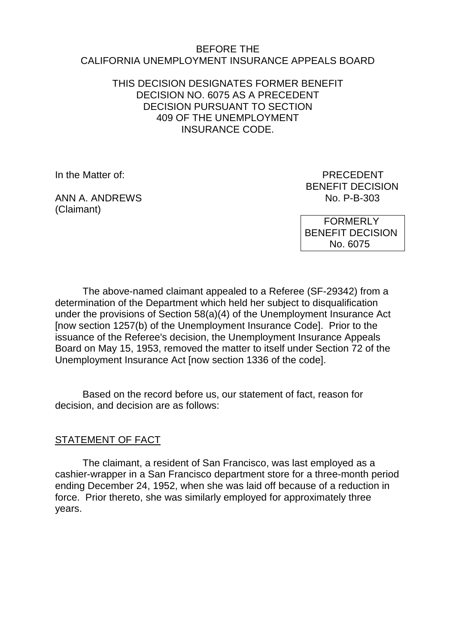#### BEFORE THE CALIFORNIA UNEMPLOYMENT INSURANCE APPEALS BOARD

#### THIS DECISION DESIGNATES FORMER BENEFIT DECISION NO. 6075 AS A PRECEDENT DECISION PURSUANT TO SECTION 409 OF THE UNEMPLOYMENT INSURANCE CODE.

ANN A. ANDREWS NO. P-B-303 (Claimant)

In the Matter of: **PRECEDENT** BENEFIT DECISION

> FORMERLY BENEFIT DECISION No. 6075

The above-named claimant appealed to a Referee (SF-29342) from a determination of the Department which held her subject to disqualification under the provisions of Section 58(a)(4) of the Unemployment Insurance Act [now section 1257(b) of the Unemployment Insurance Code]. Prior to the issuance of the Referee's decision, the Unemployment Insurance Appeals Board on May 15, 1953, removed the matter to itself under Section 72 of the Unemployment Insurance Act [now section 1336 of the code].

Based on the record before us, our statement of fact, reason for decision, and decision are as follows:

## STATEMENT OF FACT

The claimant, a resident of San Francisco, was last employed as a cashier-wrapper in a San Francisco department store for a three-month period ending December 24, 1952, when she was laid off because of a reduction in force. Prior thereto, she was similarly employed for approximately three years.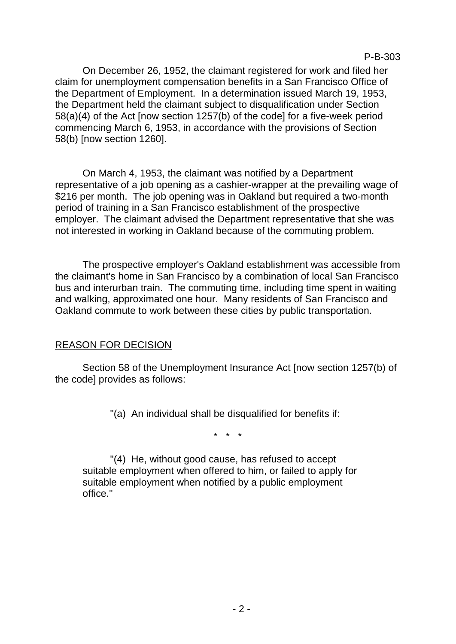On December 26, 1952, the claimant registered for work and filed her claim for unemployment compensation benefits in a San Francisco Office of the Department of Employment. In a determination issued March 19, 1953, the Department held the claimant subject to disqualification under Section 58(a)(4) of the Act [now section 1257(b) of the code] for a five-week period commencing March 6, 1953, in accordance with the provisions of Section 58(b) [now section 1260].

On March 4, 1953, the claimant was notified by a Department representative of a job opening as a cashier-wrapper at the prevailing wage of \$216 per month. The job opening was in Oakland but required a two-month period of training in a San Francisco establishment of the prospective employer. The claimant advised the Department representative that she was not interested in working in Oakland because of the commuting problem.

The prospective employer's Oakland establishment was accessible from the claimant's home in San Francisco by a combination of local San Francisco bus and interurban train. The commuting time, including time spent in waiting and walking, approximated one hour. Many residents of San Francisco and Oakland commute to work between these cities by public transportation.

## REASON FOR DECISION

Section 58 of the Unemployment Insurance Act [now section 1257(b) of the code] provides as follows:

"(a) An individual shall be disqualified for benefits if:

\* \* \*

"(4) He, without good cause, has refused to accept suitable employment when offered to him, or failed to apply for suitable employment when notified by a public employment office."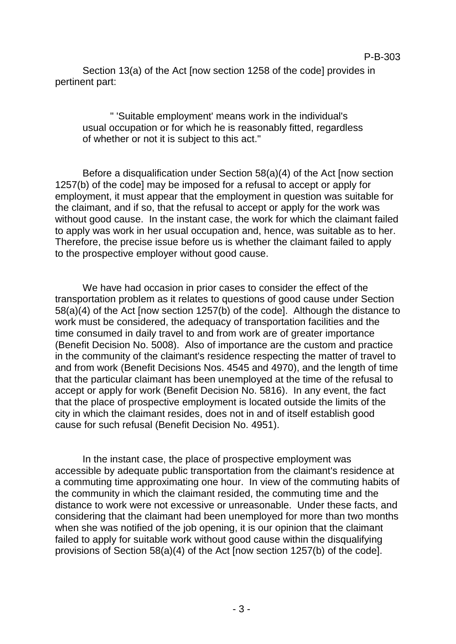Section 13(a) of the Act [now section 1258 of the code] provides in pertinent part:

" 'Suitable employment' means work in the individual's usual occupation or for which he is reasonably fitted, regardless of whether or not it is subject to this act."

Before a disqualification under Section 58(a)(4) of the Act [now section 1257(b) of the code] may be imposed for a refusal to accept or apply for employment, it must appear that the employment in question was suitable for the claimant, and if so, that the refusal to accept or apply for the work was without good cause. In the instant case, the work for which the claimant failed to apply was work in her usual occupation and, hence, was suitable as to her. Therefore, the precise issue before us is whether the claimant failed to apply to the prospective employer without good cause.

We have had occasion in prior cases to consider the effect of the transportation problem as it relates to questions of good cause under Section 58(a)(4) of the Act [now section 1257(b) of the code]. Although the distance to work must be considered, the adequacy of transportation facilities and the time consumed in daily travel to and from work are of greater importance (Benefit Decision No. 5008). Also of importance are the custom and practice in the community of the claimant's residence respecting the matter of travel to and from work (Benefit Decisions Nos. 4545 and 4970), and the length of time that the particular claimant has been unemployed at the time of the refusal to accept or apply for work (Benefit Decision No. 5816). In any event, the fact that the place of prospective employment is located outside the limits of the city in which the claimant resides, does not in and of itself establish good cause for such refusal (Benefit Decision No. 4951).

In the instant case, the place of prospective employment was accessible by adequate public transportation from the claimant's residence at a commuting time approximating one hour. In view of the commuting habits of the community in which the claimant resided, the commuting time and the distance to work were not excessive or unreasonable. Under these facts, and considering that the claimant had been unemployed for more than two months when she was notified of the job opening, it is our opinion that the claimant failed to apply for suitable work without good cause within the disqualifying provisions of Section 58(a)(4) of the Act [now section 1257(b) of the code].